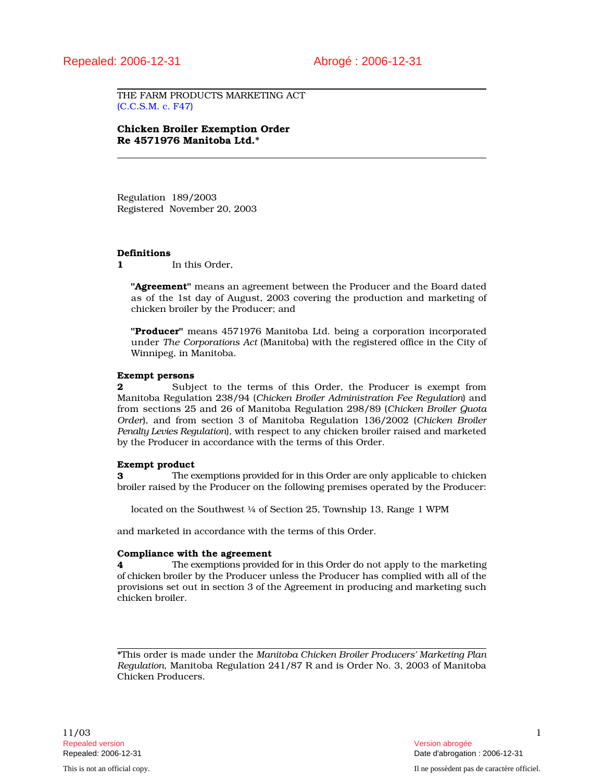THE FARM PRODUCTS MARKETING ACT (C.C.S.M. c. F47)

Chicken Broiler Exemption Order Re 4571976 Manitoba Ltd.\*

Regulation 189/2003 Registered November 20, 2003

#### Definitions

1 In this Order.

"**Agreement**" means an agreement between the Producer and the Board dated as of the 1st day of August, 2003 covering the production and marketing of chicken broiler by the Producer; and

"Producer" means 4571976 Manitoba Ltd. being a corporation incorporated under *The Corporations Act* (Manitoba) with the registered office in the City of Winnipeg, in Manitoba.

### Exempt persons

2 Subject to the terms of this Order, the Producer is exempt from Manitoba Regulation 238/94 (*Chicken Broiler Administration Fee Regulation*) and from sections 25 and 26 of Manitoba Regulation 298/89 (*Chicken Broiler Quota Order*), and from section 3 of Manitoba Regulation 136/2002 (*Chicken Broiler Penalty Levies Regulation*), with respect to any chicken broiler raised and marketed by the Producer in accordance with the terms of this Order.

#### Exempt product

**3** The exemptions provided for in this Order are only applicable to chicken broiler raised by the Producer on the following premises operated by the Producer:

located on the Southwest 1/4 of Section 25, Township 13, Range 1 WPM

and marketed in accordance with the terms of this Order.

### Compliance with the agreement

4 The exemptions provided for in this Order do not apply to the marketing of chicken broiler by the Producer unless the Producer has complied with all of the provisions set out in section 3 of the Agreement in producing and marketing such chicken broiler.

\*This order is made under the *Manitoba Chicken Broiler Producers' Marketing Plan Regulation*, Manitoba Regulation 241/87 R and is Order No. 3, 2003 of Manitoba Chicken Producers.